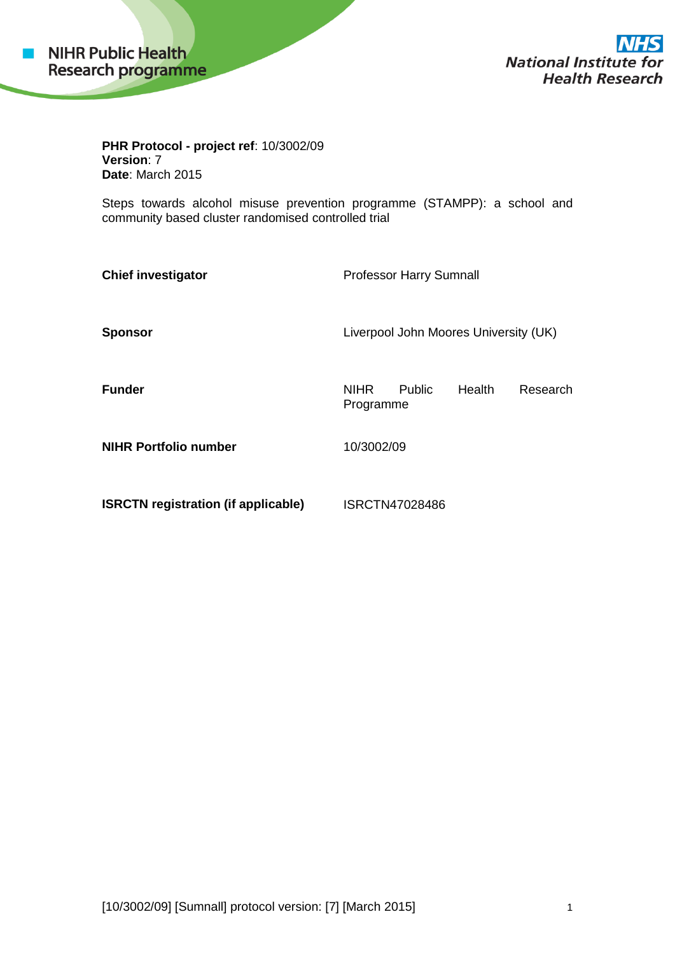

**National Institute for Health Research** 

**PHR Protocol - project ref**: 10/3002/09 **Version**: 7 **Date**: March 2015

Steps towards alcohol misuse prevention programme (STAMPP): a school and community based cluster randomised controlled trial

| <b>Chief investigator</b>                  | <b>Professor Harry Sumnall</b>        |                |        |          |
|--------------------------------------------|---------------------------------------|----------------|--------|----------|
| <b>Sponsor</b>                             | Liverpool John Moores University (UK) |                |        |          |
| <b>Funder</b>                              | <b>NIHR</b><br>Programme              | <b>Public</b>  | Health | Research |
| <b>NIHR Portfolio number</b>               | 10/3002/09                            |                |        |          |
| <b>ISRCTN registration (if applicable)</b> |                                       | ISRCTN47028486 |        |          |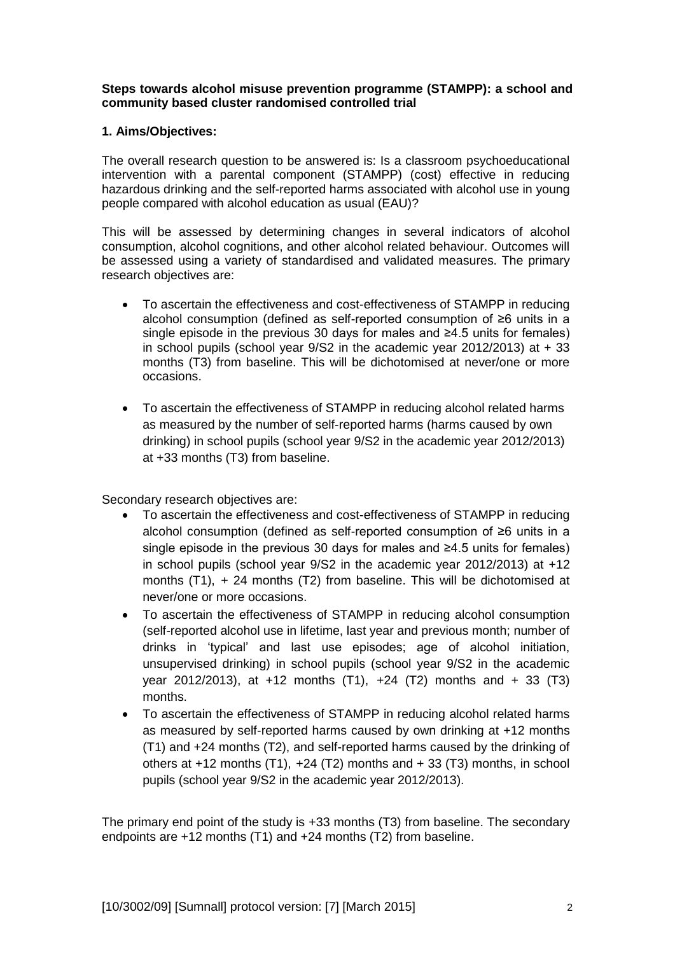**Steps towards alcohol misuse prevention programme (STAMPP): a school and community based cluster randomised controlled trial**

## **1. Aims/Objectives:**

The overall research question to be answered is: Is a classroom psychoeducational intervention with a parental component (STAMPP) (cost) effective in reducing hazardous drinking and the self-reported harms associated with alcohol use in young people compared with alcohol education as usual (EAU)?

This will be assessed by determining changes in several indicators of alcohol consumption, alcohol cognitions, and other alcohol related behaviour. Outcomes will be assessed using a variety of standardised and validated measures. The primary research objectives are:

- To ascertain the effectiveness and cost-effectiveness of STAMPP in reducing alcohol consumption (defined as self-reported consumption of ≥6 units in a single episode in the previous 30 days for males and ≥4.5 units for females) in school pupils (school year  $9/S2$  in the academic year 2012/2013) at  $+33$ months (T3) from baseline. This will be dichotomised at never/one or more occasions.
- To ascertain the effectiveness of STAMPP in reducing alcohol related harms as measured by the number of self-reported harms (harms caused by own drinking) in school pupils (school year 9/S2 in the academic year 2012/2013) at +33 months (T3) from baseline.

Secondary research objectives are:

- To ascertain the effectiveness and cost-effectiveness of STAMPP in reducing alcohol consumption (defined as self-reported consumption of ≥6 units in a single episode in the previous 30 days for males and ≥4.5 units for females) in school pupils (school year 9/S2 in the academic year 2012/2013) at +12 months (T1), + 24 months (T2) from baseline. This will be dichotomised at never/one or more occasions.
- To ascertain the effectiveness of STAMPP in reducing alcohol consumption (self-reported alcohol use in lifetime, last year and previous month; number of drinks in 'typical' and last use episodes; age of alcohol initiation, unsupervised drinking) in school pupils (school year 9/S2 in the academic year 2012/2013), at +12 months (T1), +24 (T2) months and + 33 (T3) months.
- To ascertain the effectiveness of STAMPP in reducing alcohol related harms as measured by self-reported harms caused by own drinking at +12 months (T1) and +24 months (T2), and self-reported harms caused by the drinking of others at  $+12$  months (T1),  $+24$  (T2) months and  $+33$  (T3) months, in school pupils (school year 9/S2 in the academic year 2012/2013).

The primary end point of the study is +33 months (T3) from baseline. The secondary endpoints are +12 months (T1) and +24 months (T2) from baseline.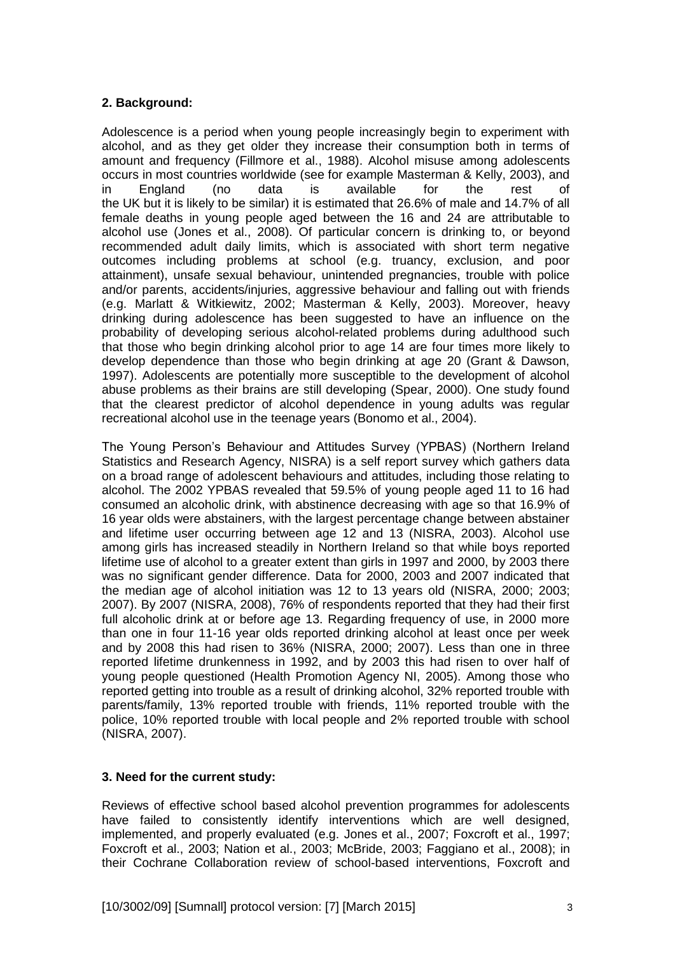# **2. Background:**

Adolescence is a period when young people increasingly begin to experiment with alcohol, and as they get older they increase their consumption both in terms of amount and frequency (Fillmore et al., 1988). Alcohol misuse among adolescents occurs in most countries worldwide (see for example Masterman & Kelly, 2003), and in England (no data is available for the rest of the UK but it is likely to be similar) it is estimated that 26.6% of male and 14.7% of all female deaths in young people aged between the 16 and 24 are attributable to alcohol use (Jones et al., 2008). Of particular concern is drinking to, or beyond recommended adult daily limits, which is associated with short term negative outcomes including problems at school (e.g. truancy, exclusion, and poor attainment), unsafe sexual behaviour, unintended pregnancies, trouble with police and/or parents, accidents/injuries, aggressive behaviour and falling out with friends (e.g. Marlatt & Witkiewitz, 2002; Masterman & Kelly, 2003). Moreover, heavy drinking during adolescence has been suggested to have an influence on the probability of developing serious alcohol-related problems during adulthood such that those who begin drinking alcohol prior to age 14 are four times more likely to develop dependence than those who begin drinking at age 20 (Grant & Dawson, 1997). Adolescents are potentially more susceptible to the development of alcohol abuse problems as their brains are still developing (Spear, 2000). One study found that the clearest predictor of alcohol dependence in young adults was regular recreational alcohol use in the teenage years (Bonomo et al., 2004).

The Young Person's Behaviour and Attitudes Survey (YPBAS) (Northern Ireland Statistics and Research Agency, NISRA) is a self report survey which gathers data on a broad range of adolescent behaviours and attitudes, including those relating to alcohol. The 2002 YPBAS revealed that 59.5% of young people aged 11 to 16 had consumed an alcoholic drink, with abstinence decreasing with age so that 16.9% of 16 year olds were abstainers, with the largest percentage change between abstainer and lifetime user occurring between age 12 and 13 (NISRA, 2003). Alcohol use among girls has increased steadily in Northern Ireland so that while boys reported lifetime use of alcohol to a greater extent than girls in 1997 and 2000, by 2003 there was no significant gender difference. Data for 2000, 2003 and 2007 indicated that the median age of alcohol initiation was 12 to 13 years old (NISRA, 2000; 2003; 2007). By 2007 (NISRA, 2008), 76% of respondents reported that they had their first full alcoholic drink at or before age 13. Regarding frequency of use, in 2000 more than one in four 11-16 year olds reported drinking alcohol at least once per week and by 2008 this had risen to 36% (NISRA, 2000; 2007). Less than one in three reported lifetime drunkenness in 1992, and by 2003 this had risen to over half of young people questioned (Health Promotion Agency NI, 2005). Among those who reported getting into trouble as a result of drinking alcohol, 32% reported trouble with parents/family, 13% reported trouble with friends, 11% reported trouble with the police, 10% reported trouble with local people and 2% reported trouble with school (NISRA, 2007).

## **3. Need for the current study:**

Reviews of effective school based alcohol prevention programmes for adolescents have failed to consistently identify interventions which are well designed, implemented, and properly evaluated (e.g. Jones et al., 2007; Foxcroft et al., 1997; Foxcroft et al., 2003; Nation et al., 2003; McBride, 2003; Faggiano et al., 2008); in their Cochrane Collaboration review of school-based interventions, Foxcroft and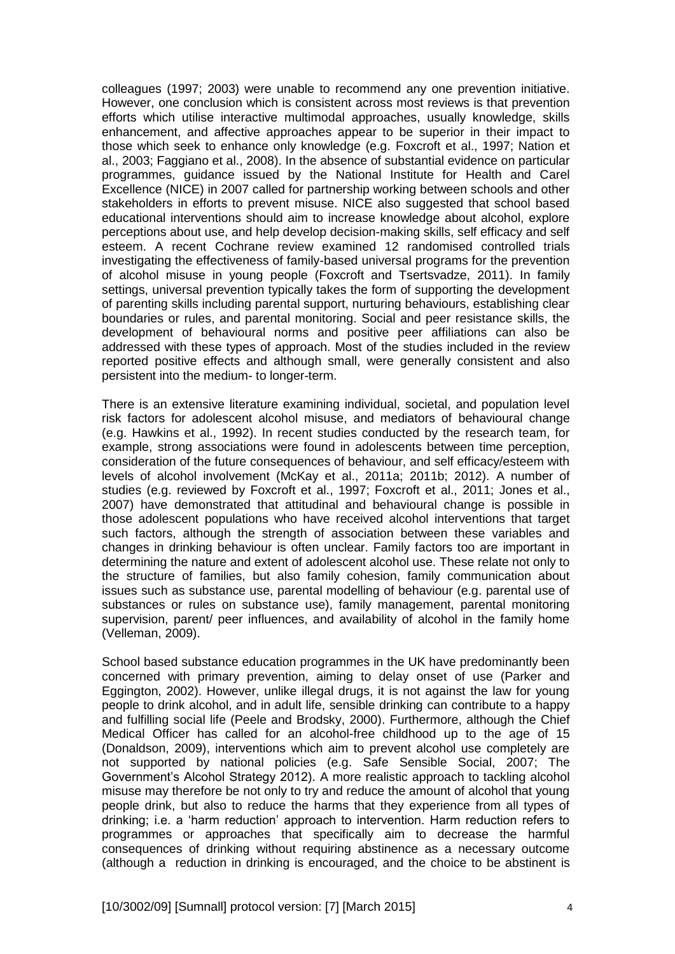colleagues (1997; 2003) were unable to recommend any one prevention initiative. However, one conclusion which is consistent across most reviews is that prevention efforts which utilise interactive multimodal approaches, usually knowledge, skills enhancement, and affective approaches appear to be superior in their impact to those which seek to enhance only knowledge (e.g. Foxcroft et al., 1997; Nation et al., 2003; Faggiano et al., 2008). In the absence of substantial evidence on particular programmes, guidance issued by the National Institute for Health and Carel Excellence (NICE) in 2007 called for partnership working between schools and other stakeholders in efforts to prevent misuse. NICE also suggested that school based educational interventions should aim to increase knowledge about alcohol, explore perceptions about use, and help develop decision-making skills, self efficacy and self esteem. A recent Cochrane review examined 12 randomised controlled trials investigating the effectiveness of family-based universal programs for the prevention of alcohol misuse in young people (Foxcroft and Tsertsvadze, 2011). In family settings, universal prevention typically takes the form of supporting the development of parenting skills including parental support, nurturing behaviours, establishing clear boundaries or rules, and parental monitoring. Social and peer resistance skills, the development of behavioural norms and positive peer affiliations can also be addressed with these types of approach. Most of the studies included in the review reported positive effects and although small, were generally consistent and also persistent into the medium- to longer-term.

There is an extensive literature examining individual, societal, and population level risk factors for adolescent alcohol misuse, and mediators of behavioural change (e.g. Hawkins et al., 1992). In recent studies conducted by the research team, for example, strong associations were found in adolescents between time perception, consideration of the future consequences of behaviour, and self efficacy/esteem with levels of alcohol involvement (McKay et al., 2011a; 2011b; 2012). A number of studies (e.g. reviewed by Foxcroft et al., 1997; Foxcroft et al., 2011; Jones et al., 2007) have demonstrated that attitudinal and behavioural change is possible in those adolescent populations who have received alcohol interventions that target such factors, although the strength of association between these variables and changes in drinking behaviour is often unclear. Family factors too are important in determining the nature and extent of adolescent alcohol use. These relate not only to the structure of families, but also family cohesion, family communication about issues such as substance use, parental modelling of behaviour (e.g. parental use of substances or rules on substance use), family management, parental monitoring supervision, parent/ peer influences, and availability of alcohol in the family home (Velleman, 2009).

School based substance education programmes in the UK have predominantly been concerned with primary prevention, aiming to delay onset of use (Parker and Eggington, 2002). However, unlike illegal drugs, it is not against the law for young people to drink alcohol, and in adult life, sensible drinking can contribute to a happy and fulfilling social life (Peele and Brodsky, 2000). Furthermore, although the Chief Medical Officer has called for an alcohol-free childhood up to the age of 15 (Donaldson, 2009), interventions which aim to prevent alcohol use completely are not supported by national policies (e.g. Safe Sensible Social, 2007; The Government's Alcohol Strategy 2012). A more realistic approach to tackling alcohol misuse may therefore be not only to try and reduce the amount of alcohol that young people drink, but also to reduce the harms that they experience from all types of drinking; i.e. a 'harm reduction' approach to intervention. Harm reduction refers to programmes or approaches that specifically aim to decrease the harmful consequences of drinking without requiring abstinence as a necessary outcome (although a reduction in drinking is encouraged, and the choice to be abstinent is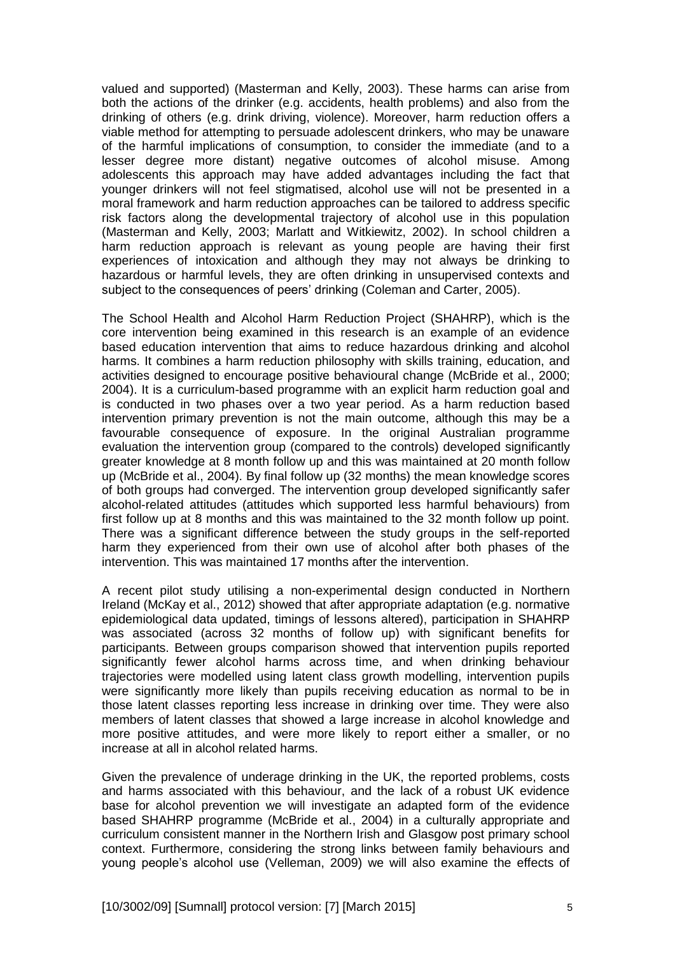valued and supported) (Masterman and Kelly, 2003). These harms can arise from both the actions of the drinker (e.g. accidents, health problems) and also from the drinking of others (e.g. drink driving, violence). Moreover, harm reduction offers a viable method for attempting to persuade adolescent drinkers, who may be unaware of the harmful implications of consumption, to consider the immediate (and to a lesser degree more distant) negative outcomes of alcohol misuse. Among adolescents this approach may have added advantages including the fact that younger drinkers will not feel stigmatised, alcohol use will not be presented in a moral framework and harm reduction approaches can be tailored to address specific risk factors along the developmental trajectory of alcohol use in this population (Masterman and Kelly, 2003; Marlatt and Witkiewitz, 2002). In school children a harm reduction approach is relevant as young people are having their first experiences of intoxication and although they may not always be drinking to hazardous or harmful levels, they are often drinking in unsupervised contexts and subject to the consequences of peers' drinking (Coleman and Carter, 2005).

The School Health and Alcohol Harm Reduction Project (SHAHRP), which is the core intervention being examined in this research is an example of an evidence based education intervention that aims to reduce hazardous drinking and alcohol harms. It combines a harm reduction philosophy with skills training, education, and activities designed to encourage positive behavioural change (McBride et al., 2000; 2004). It is a curriculum-based programme with an explicit harm reduction goal and is conducted in two phases over a two year period. As a harm reduction based intervention primary prevention is not the main outcome, although this may be a favourable consequence of exposure. In the original Australian programme evaluation the intervention group (compared to the controls) developed significantly greater knowledge at 8 month follow up and this was maintained at 20 month follow up (McBride et al., 2004). By final follow up (32 months) the mean knowledge scores of both groups had converged. The intervention group developed significantly safer alcohol-related attitudes (attitudes which supported less harmful behaviours) from first follow up at 8 months and this was maintained to the 32 month follow up point. There was a significant difference between the study groups in the self-reported harm they experienced from their own use of alcohol after both phases of the intervention. This was maintained 17 months after the intervention.

A recent pilot study utilising a non-experimental design conducted in Northern Ireland (McKay et al., 2012) showed that after appropriate adaptation (e.g. normative epidemiological data updated, timings of lessons altered), participation in SHAHRP was associated (across 32 months of follow up) with significant benefits for participants. Between groups comparison showed that intervention pupils reported significantly fewer alcohol harms across time, and when drinking behaviour trajectories were modelled using latent class growth modelling, intervention pupils were significantly more likely than pupils receiving education as normal to be in those latent classes reporting less increase in drinking over time. They were also members of latent classes that showed a large increase in alcohol knowledge and more positive attitudes, and were more likely to report either a smaller, or no increase at all in alcohol related harms.

Given the prevalence of underage drinking in the UK, the reported problems, costs and harms associated with this behaviour, and the lack of a robust UK evidence base for alcohol prevention we will investigate an adapted form of the evidence based SHAHRP programme (McBride et al., 2004) in a culturally appropriate and curriculum consistent manner in the Northern Irish and Glasgow post primary school context. Furthermore, considering the strong links between family behaviours and young people's alcohol use (Velleman, 2009) we will also examine the effects of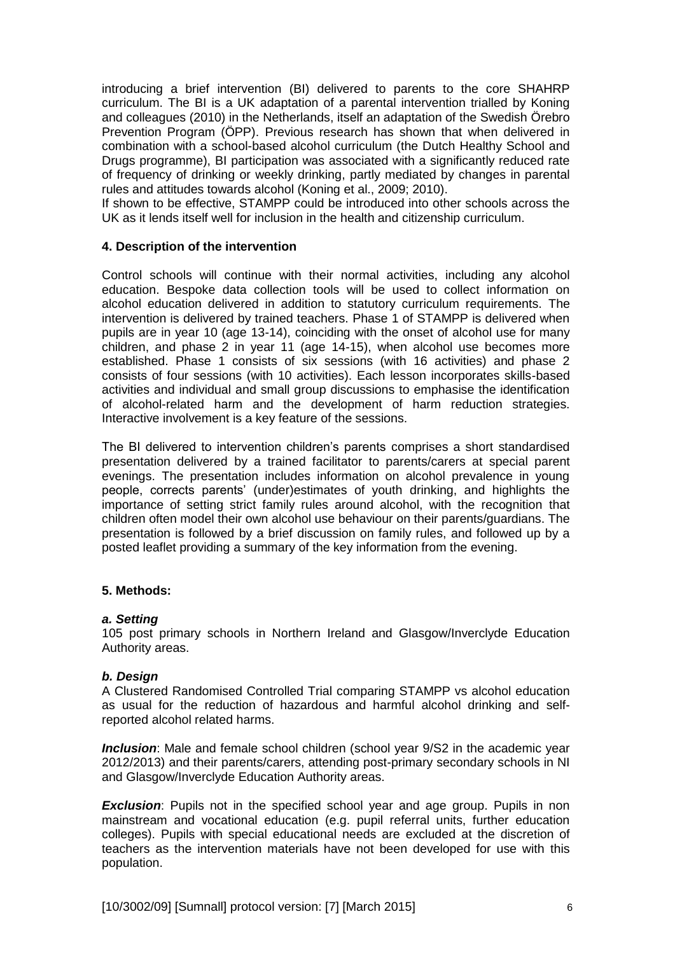introducing a brief intervention (BI) delivered to parents to the core SHAHRP curriculum. The BI is a UK adaptation of a parental intervention trialled by Koning and colleagues (2010) in the Netherlands, itself an adaptation of the Swedish Örebro Prevention Program (ÖPP). Previous research has shown that when delivered in combination with a school-based alcohol curriculum (the Dutch Healthy School and Drugs programme), BI participation was associated with a significantly reduced rate of frequency of drinking or weekly drinking, partly mediated by changes in parental rules and attitudes towards alcohol (Koning et al., 2009; 2010).

If shown to be effective, STAMPP could be introduced into other schools across the UK as it lends itself well for inclusion in the health and citizenship curriculum.

### **4. Description of the intervention**

Control schools will continue with their normal activities, including any alcohol education. Bespoke data collection tools will be used to collect information on alcohol education delivered in addition to statutory curriculum requirements. The intervention is delivered by trained teachers. Phase 1 of STAMPP is delivered when pupils are in year 10 (age 13-14), coinciding with the onset of alcohol use for many children, and phase 2 in year 11 (age 14-15), when alcohol use becomes more established. Phase 1 consists of six sessions (with 16 activities) and phase 2 consists of four sessions (with 10 activities). Each lesson incorporates skills-based activities and individual and small group discussions to emphasise the identification of alcohol-related harm and the development of harm reduction strategies. Interactive involvement is a key feature of the sessions.

The BI delivered to intervention children's parents comprises a short standardised presentation delivered by a trained facilitator to parents/carers at special parent evenings. The presentation includes information on alcohol prevalence in young people, corrects parents' (under)estimates of youth drinking, and highlights the importance of setting strict family rules around alcohol, with the recognition that children often model their own alcohol use behaviour on their parents/guardians. The presentation is followed by a brief discussion on family rules, and followed up by a posted leaflet providing a summary of the key information from the evening.

## **5. Methods:**

#### *a. Setting*

105 post primary schools in Northern Ireland and Glasgow/Inverclyde Education Authority areas.

#### *b. Design*

A Clustered Randomised Controlled Trial comparing STAMPP vs alcohol education as usual for the reduction of hazardous and harmful alcohol drinking and selfreported alcohol related harms.

**Inclusion**: Male and female school children (school year  $9/52$  in the academic year 2012/2013) and their parents/carers, attending post-primary secondary schools in NI and Glasgow/Inverclyde Education Authority areas.

**Exclusion**: Pupils not in the specified school year and age group. Pupils in non mainstream and vocational education (e.g. pupil referral units, further education colleges). Pupils with special educational needs are excluded at the discretion of teachers as the intervention materials have not been developed for use with this population.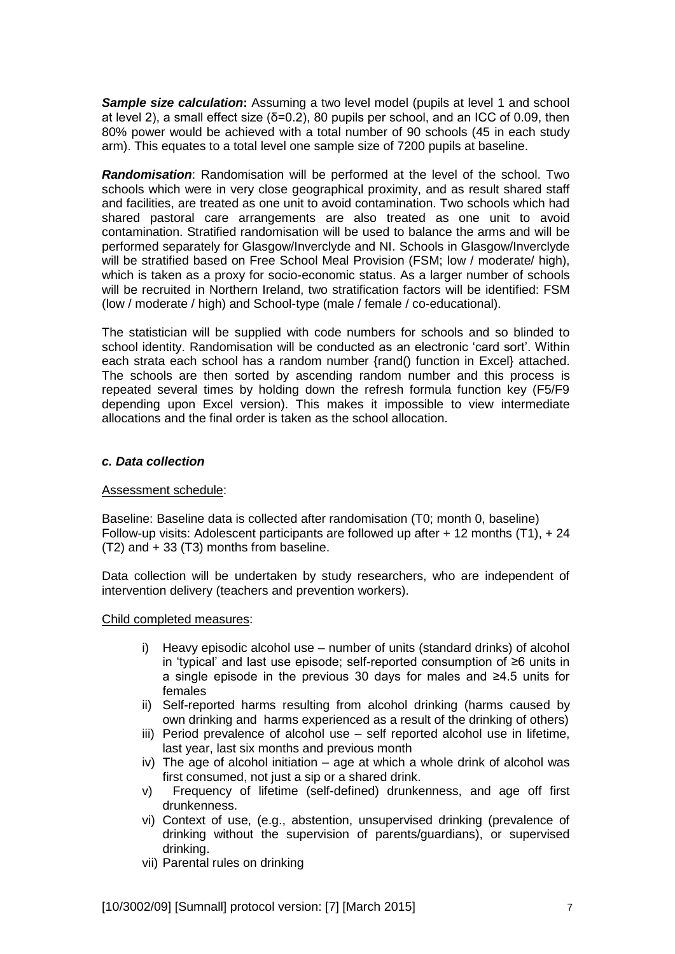**Sample size calculation:** Assuming a two level model (pupils at level 1 and school at level 2), a small effect size  $(\delta=0.2)$ , 80 pupils per school, and an ICC of 0.09, then 80% power would be achieved with a total number of 90 schools (45 in each study arm). This equates to a total level one sample size of 7200 pupils at baseline.

*Randomisation*: Randomisation will be performed at the level of the school. Two schools which were in very close geographical proximity, and as result shared staff and facilities, are treated as one unit to avoid contamination. Two schools which had shared pastoral care arrangements are also treated as one unit to avoid contamination. Stratified randomisation will be used to balance the arms and will be performed separately for Glasgow/Inverclyde and NI. Schools in Glasgow/Inverclyde will be stratified based on Free School Meal Provision (FSM; low / moderate/ high), which is taken as a proxy for socio-economic status. As a larger number of schools will be recruited in Northern Ireland, two stratification factors will be identified: FSM (low / moderate / high) and School-type (male / female / co-educational).

The statistician will be supplied with code numbers for schools and so blinded to school identity. Randomisation will be conducted as an electronic 'card sort'. Within each strata each school has a random number {rand() function in Excel} attached. The schools are then sorted by ascending random number and this process is repeated several times by holding down the refresh formula function key (F5/F9 depending upon Excel version). This makes it impossible to view intermediate allocations and the final order is taken as the school allocation.

### *c. Data collection*

#### Assessment schedule:

Baseline: Baseline data is collected after randomisation (T0; month 0, baseline) Follow-up visits: Adolescent participants are followed up after  $+$  12 months (T1),  $+$  24 (T2) and + 33 (T3) months from baseline.

Data collection will be undertaken by study researchers, who are independent of intervention delivery (teachers and prevention workers).

Child completed measures:

- i) Heavy episodic alcohol use number of units (standard drinks) of alcohol in 'typical' and last use episode; self-reported consumption of ≥6 units in a single episode in the previous 30 days for males and ≥4.5 units for females
- ii) Self-reported harms resulting from alcohol drinking (harms caused by own drinking and harms experienced as a result of the drinking of others)
- iii) Period prevalence of alcohol use self reported alcohol use in lifetime, last year, last six months and previous month
- iv) The age of alcohol initiation age at which a whole drink of alcohol was first consumed, not just a sip or a shared drink.
- v) Frequency of lifetime (self-defined) drunkenness, and age off first drunkenness.
- vi) Context of use, (e.g., abstention, unsupervised drinking (prevalence of drinking without the supervision of parents/guardians), or supervised drinking.
- vii) Parental rules on drinking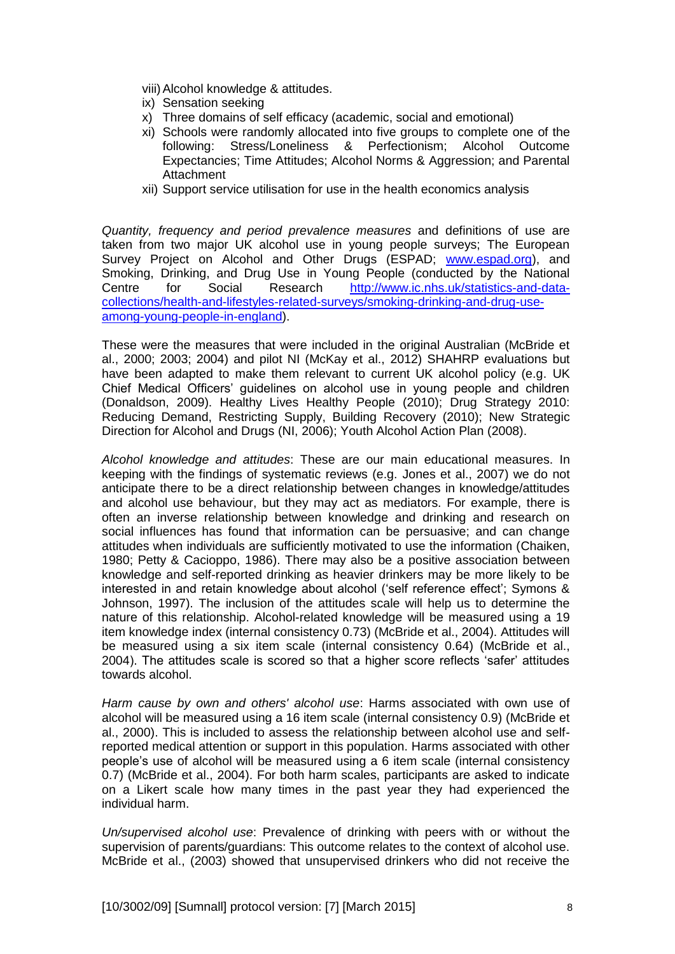- viii)Alcohol knowledge & attitudes.
- ix) Sensation seeking
- x) Three domains of self efficacy (academic, social and emotional)
- xi) Schools were randomly allocated into five groups to complete one of the following: Stress/Loneliness & Perfectionism; Alcohol Outcome Expectancies; Time Attitudes; Alcohol Norms & Aggression; and Parental **Attachment**
- xii) Support service utilisation for use in the health economics analysis

*Quantity, frequency and period prevalence measures* and definitions of use are taken from two major UK alcohol use in young people surveys; The European Survey Project on Alcohol and Other Drugs (ESPAD; [www.espad.org\)](http://www.espad.org/), and Smoking, Drinking, and Drug Use in Young People (conducted by the National Centre for Social Research [http://www.ic.nhs.uk/statistics-and-data](http://www.ic.nhs.uk/statistics-and-data-collections/health-and-lifestyles-related-surveys/smoking-drinking-and-drug-use-among-young-people-in-england)[collections/health-and-lifestyles-related-surveys/smoking-drinking-and-drug-use](http://www.ic.nhs.uk/statistics-and-data-collections/health-and-lifestyles-related-surveys/smoking-drinking-and-drug-use-among-young-people-in-england)[among-young-people-in-england\)](http://www.ic.nhs.uk/statistics-and-data-collections/health-and-lifestyles-related-surveys/smoking-drinking-and-drug-use-among-young-people-in-england).

These were the measures that were included in the original Australian (McBride et al., 2000; 2003; 2004) and pilot NI (McKay et al., 2012) SHAHRP evaluations but have been adapted to make them relevant to current UK alcohol policy (e.g. UK Chief Medical Officers' guidelines on alcohol use in young people and children (Donaldson, 2009). Healthy Lives Healthy People (2010); Drug Strategy 2010: Reducing Demand, Restricting Supply, Building Recovery (2010); New Strategic Direction for Alcohol and Drugs (NI, 2006); Youth Alcohol Action Plan (2008).

*Alcohol knowledge and attitudes*: These are our main educational measures. In keeping with the findings of systematic reviews (e.g. Jones et al., 2007) we do not anticipate there to be a direct relationship between changes in knowledge/attitudes and alcohol use behaviour, but they may act as mediators. For example, there is often an inverse relationship between knowledge and drinking and research on social influences has found that information can be persuasive; and can change attitudes when individuals are sufficiently motivated to use the information (Chaiken, 1980; Petty & Cacioppo, 1986). There may also be a positive association between knowledge and self-reported drinking as heavier drinkers may be more likely to be interested in and retain knowledge about alcohol ('self reference effect'; Symons & Johnson, 1997). The inclusion of the attitudes scale will help us to determine the nature of this relationship. Alcohol-related knowledge will be measured using a 19 item knowledge index (internal consistency 0.73) (McBride et al., 2004). Attitudes will be measured using a six item scale (internal consistency 0.64) (McBride et al., 2004). The attitudes scale is scored so that a higher score reflects 'safer' attitudes towards alcohol.

*Harm cause by own and others' alcohol use*: Harms associated with own use of alcohol will be measured using a 16 item scale (internal consistency 0.9) (McBride et al., 2000). This is included to assess the relationship between alcohol use and selfreported medical attention or support in this population. Harms associated with other people's use of alcohol will be measured using a 6 item scale (internal consistency 0.7) (McBride et al., 2004). For both harm scales, participants are asked to indicate on a Likert scale how many times in the past year they had experienced the individual harm.

*Un/supervised alcohol use*: Prevalence of drinking with peers with or without the supervision of parents/guardians: This outcome relates to the context of alcohol use. McBride et al., (2003) showed that unsupervised drinkers who did not receive the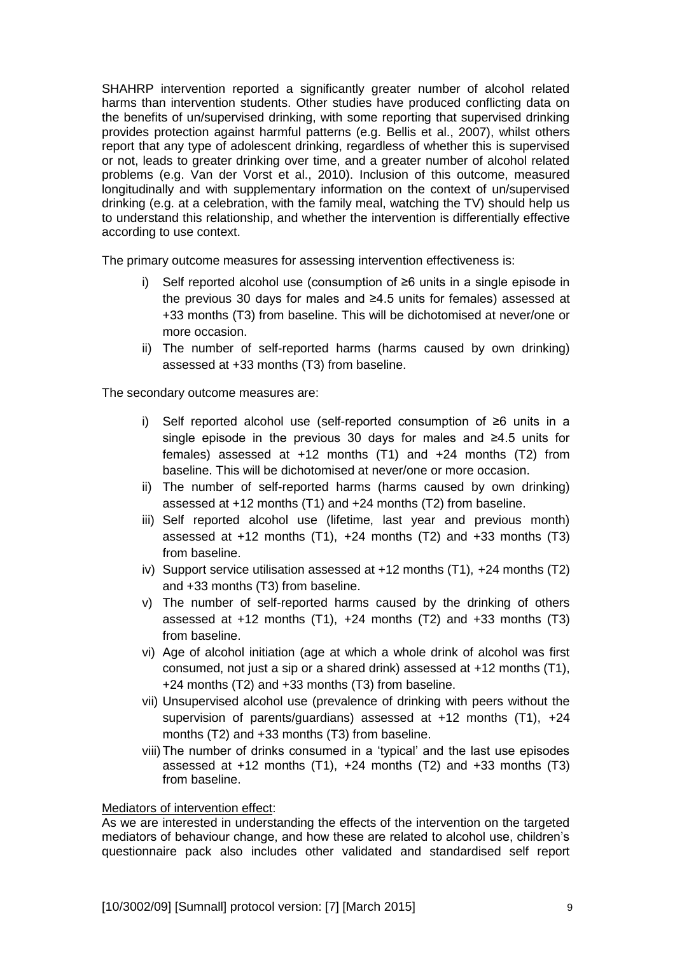SHAHRP intervention reported a significantly greater number of alcohol related harms than intervention students. Other studies have produced conflicting data on the benefits of un/supervised drinking, with some reporting that supervised drinking provides protection against harmful patterns (e.g. Bellis et al., 2007), whilst others report that any type of adolescent drinking, regardless of whether this is supervised or not, leads to greater drinking over time, and a greater number of alcohol related problems (e.g. Van der Vorst et al., 2010). Inclusion of this outcome, measured longitudinally and with supplementary information on the context of un/supervised drinking (e.g. at a celebration, with the family meal, watching the TV) should help us to understand this relationship, and whether the intervention is differentially effective according to use context.

The primary outcome measures for assessing intervention effectiveness is:

- i) Self reported alcohol use (consumption of ≥6 units in a single episode in the previous 30 days for males and ≥4.5 units for females) assessed at +33 months (T3) from baseline. This will be dichotomised at never/one or more occasion.
- ii) The number of self-reported harms (harms caused by own drinking) assessed at +33 months (T3) from baseline.

The secondary outcome measures are:

- i) Self reported alcohol use (self-reported consumption of ≥6 units in a single episode in the previous 30 days for males and ≥4.5 units for females) assessed at +12 months (T1) and +24 months (T2) from baseline. This will be dichotomised at never/one or more occasion.
- ii) The number of self-reported harms (harms caused by own drinking) assessed at +12 months (T1) and +24 months (T2) from baseline.
- iii) Self reported alcohol use (lifetime, last year and previous month) assessed at  $+12$  months  $(T1)$ ,  $+24$  months  $(T2)$  and  $+33$  months  $(T3)$ from baseline.
- iv) Support service utilisation assessed at +12 months (T1), +24 months (T2) and +33 months (T3) from baseline.
- v) The number of self-reported harms caused by the drinking of others assessed at  $+12$  months  $(T1)$ ,  $+24$  months  $(T2)$  and  $+33$  months  $(T3)$ from baseline.
- vi) Age of alcohol initiation (age at which a whole drink of alcohol was first consumed, not just a sip or a shared drink) assessed at +12 months (T1), +24 months (T2) and +33 months (T3) from baseline.
- vii) Unsupervised alcohol use (prevalence of drinking with peers without the supervision of parents/guardians) assessed at +12 months (T1), +24 months (T2) and +33 months (T3) from baseline.
- viii)The number of drinks consumed in a 'typical' and the last use episodes assessed at +12 months (T1), +24 months (T2) and +33 months (T3) from baseline.

#### Mediators of intervention effect:

As we are interested in understanding the effects of the intervention on the targeted mediators of behaviour change, and how these are related to alcohol use, children's questionnaire pack also includes other validated and standardised self report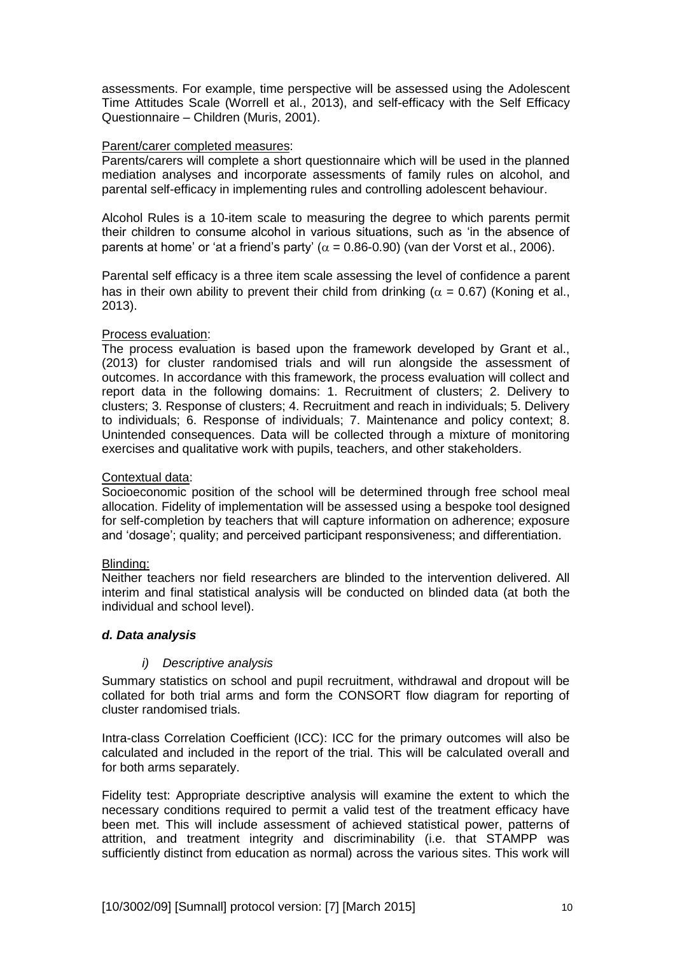assessments. For example, time perspective will be assessed using the Adolescent Time Attitudes Scale (Worrell et al., 2013), and self-efficacy with the Self Efficacy Questionnaire – Children (Muris, 2001).

### Parent/carer completed measures:

Parents/carers will complete a short questionnaire which will be used in the planned mediation analyses and incorporate assessments of family rules on alcohol, and parental self-efficacy in implementing rules and controlling adolescent behaviour.

Alcohol Rules is a 10-item scale to measuring the degree to which parents permit their children to consume alcohol in various situations, such as 'in the absence of parents at home' or 'at a friend's party' ( $\alpha$  = 0.86-0.90) (van der Vorst et al., 2006).

Parental self efficacy is a three item scale assessing the level of confidence a parent has in their own ability to prevent their child from drinking ( $\alpha = 0.67$ ) (Koning et al., 2013).

## Process evaluation:

The process evaluation is based upon the framework developed by Grant et al., (2013) for cluster randomised trials and will run alongside the assessment of outcomes. In accordance with this framework, the process evaluation will collect and report data in the following domains: 1. Recruitment of clusters; 2. Delivery to clusters; 3. Response of clusters; 4. Recruitment and reach in individuals; 5. Delivery to individuals; 6. Response of individuals; 7. Maintenance and policy context; 8. Unintended consequences. Data will be collected through a mixture of monitoring exercises and qualitative work with pupils, teachers, and other stakeholders.

### Contextual data:

Socioeconomic position of the school will be determined through free school meal allocation. Fidelity of implementation will be assessed using a bespoke tool designed for self-completion by teachers that will capture information on adherence; exposure and 'dosage'; quality; and perceived participant responsiveness; and differentiation.

#### Blinding:

Neither teachers nor field researchers are blinded to the intervention delivered. All interim and final statistical analysis will be conducted on blinded data (at both the individual and school level).

## *d. Data analysis*

#### *i) Descriptive analysis*

Summary statistics on school and pupil recruitment, withdrawal and dropout will be collated for both trial arms and form the CONSORT flow diagram for reporting of cluster randomised trials.

Intra-class Correlation Coefficient (ICC): ICC for the primary outcomes will also be calculated and included in the report of the trial. This will be calculated overall and for both arms separately.

Fidelity test: Appropriate descriptive analysis will examine the extent to which the necessary conditions required to permit a valid test of the treatment efficacy have been met. This will include assessment of achieved statistical power, patterns of attrition, and treatment integrity and discriminability (i.e. that STAMPP was sufficiently distinct from education as normal) across the various sites. This work will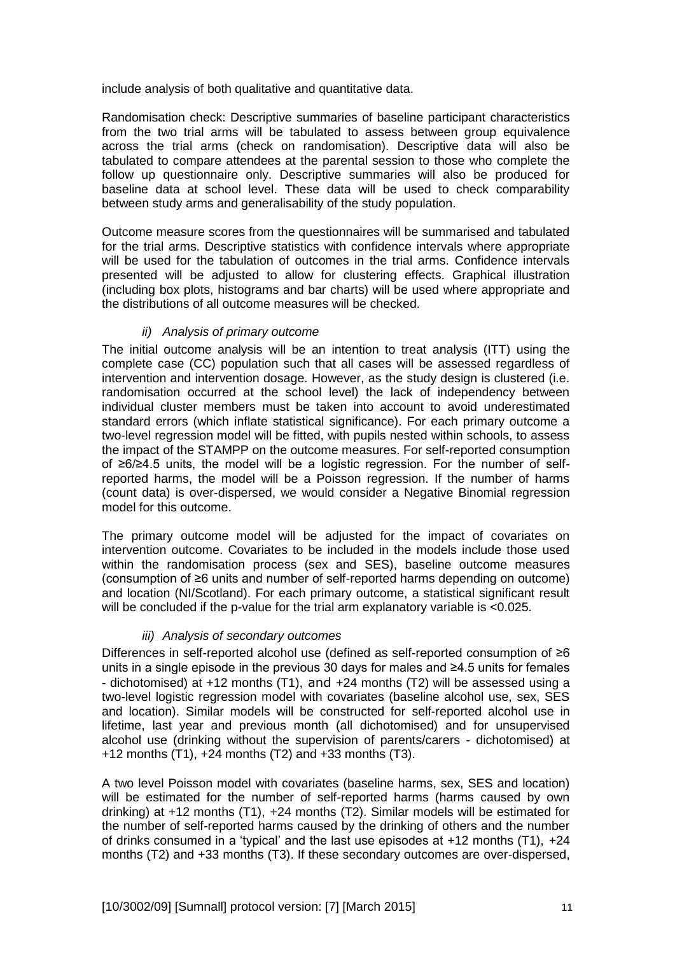include analysis of both qualitative and quantitative data.

Randomisation check: Descriptive summaries of baseline participant characteristics from the two trial arms will be tabulated to assess between group equivalence across the trial arms (check on randomisation). Descriptive data will also be tabulated to compare attendees at the parental session to those who complete the follow up questionnaire only. Descriptive summaries will also be produced for baseline data at school level. These data will be used to check comparability between study arms and generalisability of the study population.

Outcome measure scores from the questionnaires will be summarised and tabulated for the trial arms. Descriptive statistics with confidence intervals where appropriate will be used for the tabulation of outcomes in the trial arms. Confidence intervals presented will be adjusted to allow for clustering effects. Graphical illustration (including box plots, histograms and bar charts) will be used where appropriate and the distributions of all outcome measures will be checked.

## *ii) Analysis of primary outcome*

The initial outcome analysis will be an intention to treat analysis (ITT) using the complete case (CC) population such that all cases will be assessed regardless of intervention and intervention dosage. However, as the study design is clustered (i.e. randomisation occurred at the school level) the lack of independency between individual cluster members must be taken into account to avoid underestimated standard errors (which inflate statistical significance). For each primary outcome a two-level regression model will be fitted, with pupils nested within schools, to assess the impact of the STAMPP on the outcome measures. For self-reported consumption of ≥6/≥4.5 units, the model will be a logistic regression. For the number of selfreported harms, the model will be a Poisson regression. If the number of harms (count data) is over-dispersed, we would consider a Negative Binomial regression model for this outcome.

The primary outcome model will be adjusted for the impact of covariates on intervention outcome. Covariates to be included in the models include those used within the randomisation process (sex and SES), baseline outcome measures (consumption of ≥6 units and number of self-reported harms depending on outcome) and location (NI/Scotland). For each primary outcome, a statistical significant result will be concluded if the p-value for the trial arm explanatory variable is <0.025.

## *iii) Analysis of secondary outcomes*

Differences in self-reported alcohol use (defined as self-reported consumption of ≥6 units in a single episode in the previous 30 days for males and ≥4.5 units for females - dichotomised) at +12 months (T1), and +24 months (T2) will be assessed using a two-level logistic regression model with covariates (baseline alcohol use, sex, SES and location). Similar models will be constructed for self-reported alcohol use in lifetime, last year and previous month (all dichotomised) and for unsupervised alcohol use (drinking without the supervision of parents/carers - dichotomised) at +12 months (T1), +24 months (T2) and +33 months (T3).

A two level Poisson model with covariates (baseline harms, sex, SES and location) will be estimated for the number of self-reported harms (harms caused by own drinking) at +12 months (T1), +24 months (T2). Similar models will be estimated for the number of self-reported harms caused by the drinking of others and the number of drinks consumed in a 'typical' and the last use episodes at  $+12$  months (T1),  $+24$ months (T2) and +33 months (T3). If these secondary outcomes are over-dispersed,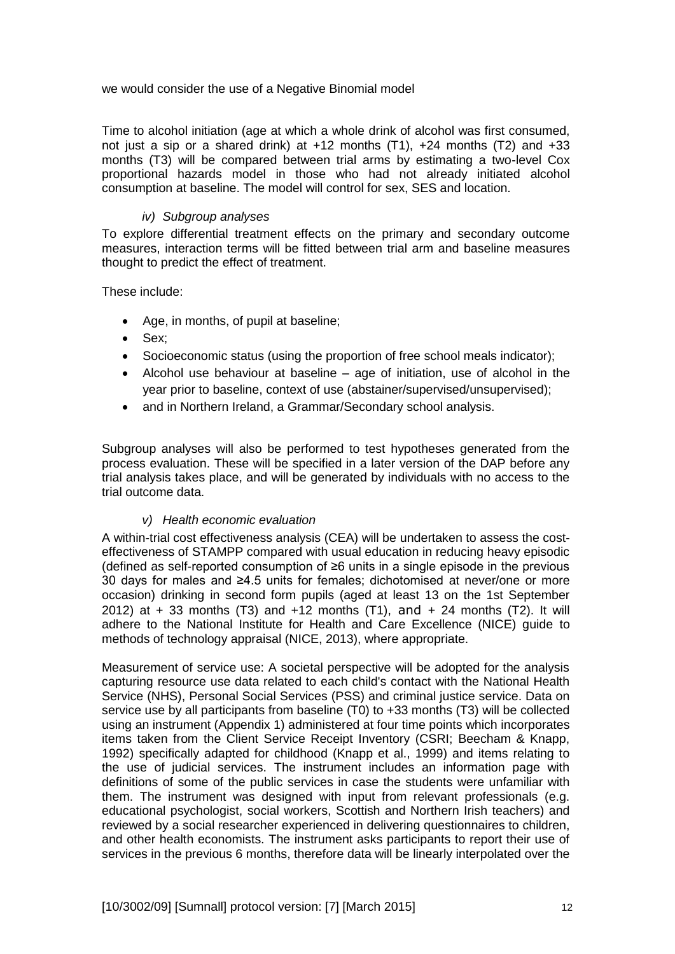we would consider the use of a Negative Binomial model

Time to alcohol initiation (age at which a whole drink of alcohol was first consumed, not just a sip or a shared drink) at  $+12$  months (T1),  $+24$  months (T2) and  $+33$ months (T3) will be compared between trial arms by estimating a two-level Cox proportional hazards model in those who had not already initiated alcohol consumption at baseline. The model will control for sex, SES and location.

# *iv) Subgroup analyses*

To explore differential treatment effects on the primary and secondary outcome measures, interaction terms will be fitted between trial arm and baseline measures thought to predict the effect of treatment.

These include:

- Age, in months, of pupil at baseline;
- Sex;
- Socioeconomic status (using the proportion of free school meals indicator);
- Alcohol use behaviour at baseline age of initiation, use of alcohol in the year prior to baseline, context of use (abstainer/supervised/unsupervised);
- and in Northern Ireland, a Grammar/Secondary school analysis.

Subgroup analyses will also be performed to test hypotheses generated from the process evaluation. These will be specified in a later version of the DAP before any trial analysis takes place, and will be generated by individuals with no access to the trial outcome data.

## *v) Health economic evaluation*

A within-trial cost effectiveness analysis (CEA) will be undertaken to assess the costeffectiveness of STAMPP compared with usual education in reducing heavy episodic (defined as self-reported consumption of ≥6 units in a single episode in the previous 30 days for males and ≥4.5 units for females; dichotomised at never/one or more occasion) drinking in second form pupils (aged at least 13 on the 1st September 2012) at  $+$  33 months (T3) and  $+12$  months (T1), and  $+$  24 months (T2). It will adhere to the National Institute for Health and Care Excellence (NICE) guide to methods of technology appraisal (NICE, 2013), where appropriate.

Measurement of service use: A societal perspective will be adopted for the analysis capturing resource use data related to each child's contact with the National Health Service (NHS), Personal Social Services (PSS) and criminal justice service. Data on service use by all participants from baseline (T0) to +33 months (T3) will be collected using an instrument (Appendix 1) administered at four time points which incorporates items taken from the Client Service Receipt Inventory (CSRI; Beecham & Knapp, 1992) specifically adapted for childhood (Knapp et al., 1999) and items relating to the use of judicial services. The instrument includes an information page with definitions of some of the public services in case the students were unfamiliar with them. The instrument was designed with input from relevant professionals (e.g. educational psychologist, social workers, Scottish and Northern Irish teachers) and reviewed by a social researcher experienced in delivering questionnaires to children, and other health economists. The instrument asks participants to report their use of services in the previous 6 months, therefore data will be linearly interpolated over the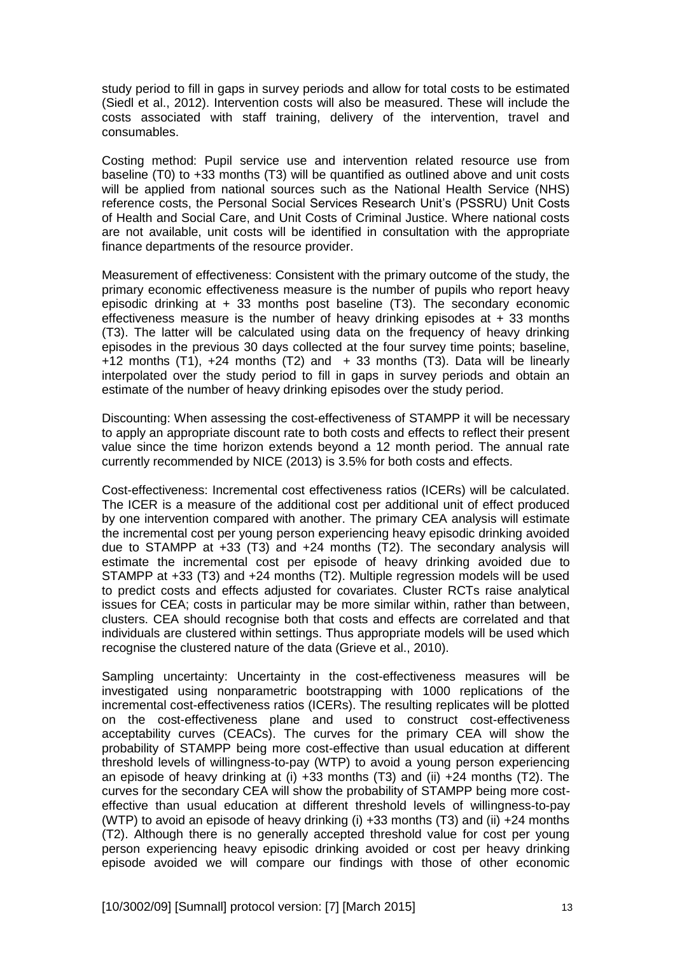study period to fill in gaps in survey periods and allow for total costs to be estimated (Siedl et al., 2012). Intervention costs will also be measured. These will include the costs associated with staff training, delivery of the intervention, travel and consumables.

Costing method: Pupil service use and intervention related resource use from baseline (T0) to +33 months (T3) will be quantified as outlined above and unit costs will be applied from national sources such as the National Health Service (NHS) reference costs, the Personal Social Services Research Unit's (PSSRU) Unit Costs of Health and Social Care, and Unit Costs of Criminal Justice. Where national costs are not available, unit costs will be identified in consultation with the appropriate finance departments of the resource provider.

Measurement of effectiveness: Consistent with the primary outcome of the study, the primary economic effectiveness measure is the number of pupils who report heavy episodic drinking at + 33 months post baseline (T3). The secondary economic effectiveness measure is the number of heavy drinking episodes at  $+33$  months (T3). The latter will be calculated using data on the frequency of heavy drinking episodes in the previous 30 days collected at the four survey time points; baseline, +12 months (T1),  $+24$  months (T2) and  $+33$  months (T3). Data will be linearly interpolated over the study period to fill in gaps in survey periods and obtain an estimate of the number of heavy drinking episodes over the study period.

Discounting: When assessing the cost-effectiveness of STAMPP it will be necessary to apply an appropriate discount rate to both costs and effects to reflect their present value since the time horizon extends beyond a 12 month period. The annual rate currently recommended by NICE (2013) is 3.5% for both costs and effects.

Cost-effectiveness: Incremental cost effectiveness ratios (ICERs) will be calculated. The ICER is a measure of the additional cost per additional unit of effect produced by one intervention compared with another. The primary CEA analysis will estimate the incremental cost per young person experiencing heavy episodic drinking avoided due to STAMPP at +33 (T3) and +24 months (T2). The secondary analysis will estimate the incremental cost per episode of heavy drinking avoided due to STAMPP at +33 (T3) and +24 months (T2). Multiple regression models will be used to predict costs and effects adjusted for covariates. Cluster RCTs raise analytical issues for CEA; costs in particular may be more similar within, rather than between, clusters. CEA should recognise both that costs and effects are correlated and that individuals are clustered within settings. Thus appropriate models will be used which recognise the clustered nature of the data (Grieve et al., 2010).

Sampling uncertainty: Uncertainty in the cost-effectiveness measures will be investigated using nonparametric bootstrapping with 1000 replications of the incremental cost-effectiveness ratios (ICERs). The resulting replicates will be plotted on the cost-effectiveness plane and used to construct cost-effectiveness acceptability curves (CEACs). The curves for the primary CEA will show the probability of STAMPP being more cost-effective than usual education at different threshold levels of willingness-to-pay (WTP) to avoid a young person experiencing an episode of heavy drinking at (i)  $+33$  months (T3) and (ii)  $+24$  months (T2). The curves for the secondary CEA will show the probability of STAMPP being more costeffective than usual education at different threshold levels of willingness-to-pay (WTP) to avoid an episode of heavy drinking (i) +33 months (T3) and (ii) +24 months (T2). Although there is no generally accepted threshold value for cost per young person experiencing heavy episodic drinking avoided or cost per heavy drinking episode avoided we will compare our findings with those of other economic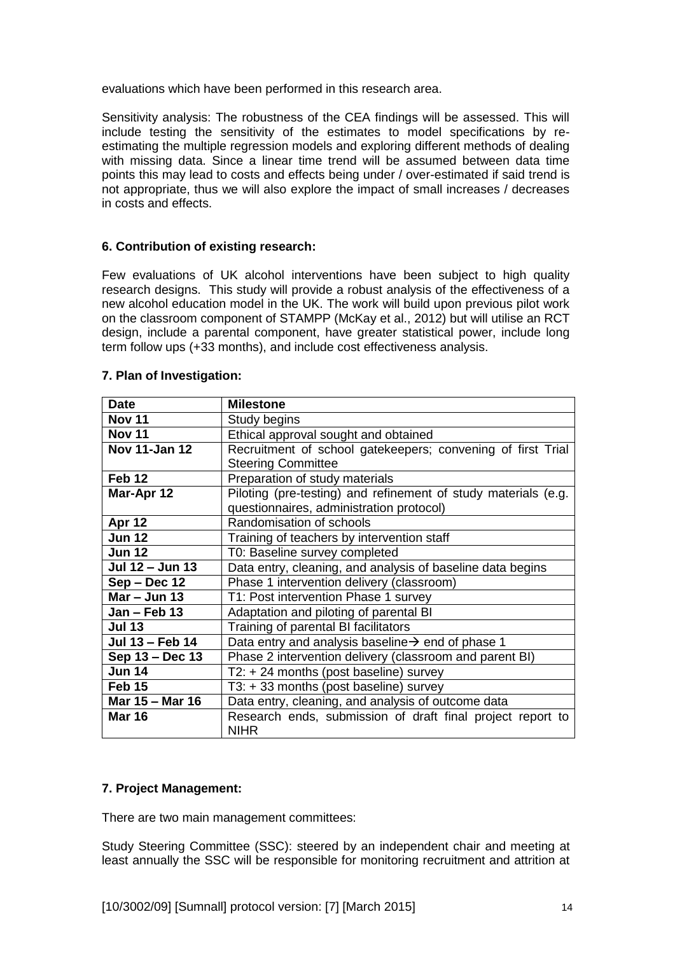evaluations which have been performed in this research area.

Sensitivity analysis: The robustness of the CEA findings will be assessed. This will include testing the sensitivity of the estimates to model specifications by reestimating the multiple regression models and exploring different methods of dealing with missing data. Since a linear time trend will be assumed between data time points this may lead to costs and effects being under / over-estimated if said trend is not appropriate, thus we will also explore the impact of small increases / decreases in costs and effects.

## **6. Contribution of existing research:**

Few evaluations of UK alcohol interventions have been subject to high quality research designs. This study will provide a robust analysis of the effectiveness of a new alcohol education model in the UK. The work will build upon previous pilot work on the classroom component of STAMPP (McKay et al., 2012) but will utilise an RCT design, include a parental component, have greater statistical power, include long term follow ups (+33 months), and include cost effectiveness analysis.

| <b>Date</b>          | <b>Milestone</b>                                                          |
|----------------------|---------------------------------------------------------------------------|
| <b>Nov 11</b>        | Study begins                                                              |
| <b>Nov 11</b>        | Ethical approval sought and obtained                                      |
| <b>Nov 11-Jan 12</b> | Recruitment of school gatekeepers; convening of first Trial               |
|                      | <b>Steering Committee</b>                                                 |
| Feb 12               | Preparation of study materials                                            |
| Mar-Apr 12           | Piloting (pre-testing) and refinement of study materials (e.g.            |
|                      | questionnaires, administration protocol)                                  |
| Apr 12               | Randomisation of schools                                                  |
| <b>Jun 12</b>        | Training of teachers by intervention staff                                |
| <b>Jun 12</b>        | T0: Baseline survey completed                                             |
| Jul 12 - Jun 13      | Data entry, cleaning, and analysis of baseline data begins                |
| Sep - Dec 12         | Phase 1 intervention delivery (classroom)                                 |
| $Mar - Jun$ 13       | T1: Post intervention Phase 1 survey                                      |
| Jan - Feb 13         | Adaptation and piloting of parental BI                                    |
| <b>Jul 13</b>        | Training of parental BI facilitators                                      |
| Jul 13 - Feb 14      | Data entry and analysis baseline $\rightarrow$ end of phase 1             |
| Sep 13 - Dec 13      | Phase 2 intervention delivery (classroom and parent BI)                   |
| <b>Jun 14</b>        | $T2: + 24$ months (post baseline) survey                                  |
| Feb 15               | $T3: +33$ months (post baseline) survey                                   |
| Mar 15 - Mar 16      | Data entry, cleaning, and analysis of outcome data                        |
| <b>Mar 16</b>        | Research ends, submission of draft final project report to<br><b>NIHR</b> |

## **7. Plan of Investigation:**

## **7. Project Management:**

There are two main management committees:

Study Steering Committee (SSC): steered by an independent chair and meeting at least annually the SSC will be responsible for monitoring recruitment and attrition at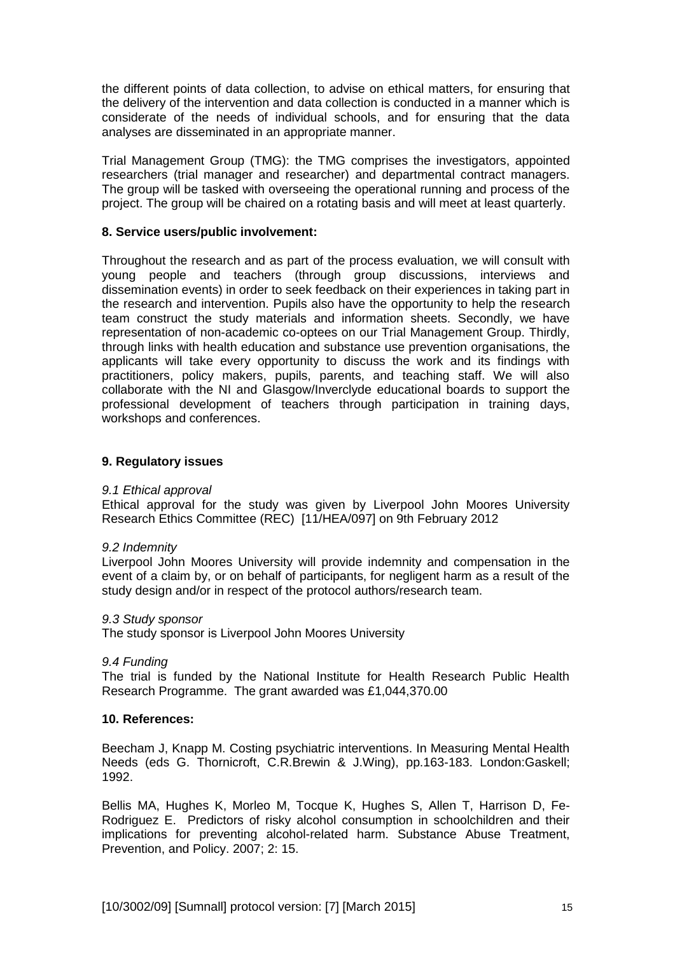the different points of data collection, to advise on ethical matters, for ensuring that the delivery of the intervention and data collection is conducted in a manner which is considerate of the needs of individual schools, and for ensuring that the data analyses are disseminated in an appropriate manner.

Trial Management Group (TMG): the TMG comprises the investigators, appointed researchers (trial manager and researcher) and departmental contract managers. The group will be tasked with overseeing the operational running and process of the project. The group will be chaired on a rotating basis and will meet at least quarterly.

### **8. Service users/public involvement:**

Throughout the research and as part of the process evaluation, we will consult with young people and teachers (through group discussions, interviews and dissemination events) in order to seek feedback on their experiences in taking part in the research and intervention. Pupils also have the opportunity to help the research team construct the study materials and information sheets. Secondly, we have representation of non-academic co-optees on our Trial Management Group. Thirdly, through links with health education and substance use prevention organisations, the applicants will take every opportunity to discuss the work and its findings with practitioners, policy makers, pupils, parents, and teaching staff. We will also collaborate with the NI and Glasgow/Inverclyde educational boards to support the professional development of teachers through participation in training days, workshops and conferences.

### **9. Regulatory issues**

#### *9.1 Ethical approval*

Ethical approval for the study was given by Liverpool John Moores University Research Ethics Committee (REC) [11/HEA/097] on 9th February 2012

#### *9.2 Indemnity*

Liverpool John Moores University will provide indemnity and compensation in the event of a claim by, or on behalf of participants, for negligent harm as a result of the study design and/or in respect of the protocol authors/research team.

#### *9.3 Study sponsor*

The study sponsor is Liverpool John Moores University

#### *9.4 Funding*

The trial is funded by the National Institute for Health Research Public Health Research Programme. The grant awarded was £1,044,370.00

#### **10. References:**

Beecham J, Knapp M. Costing psychiatric interventions. In Measuring Mental Health Needs (eds G. Thornicroft, C.R.Brewin & J.Wing), pp.163-183. London:Gaskell; 1992.

Bellis MA, Hughes K, Morleo M, Tocque K, Hughes S, Allen T, Harrison D, Fe-Rodriguez E. Predictors of risky alcohol consumption in schoolchildren and their implications for preventing alcohol-related harm. Substance Abuse Treatment, Prevention, and Policy. 2007; 2: 15.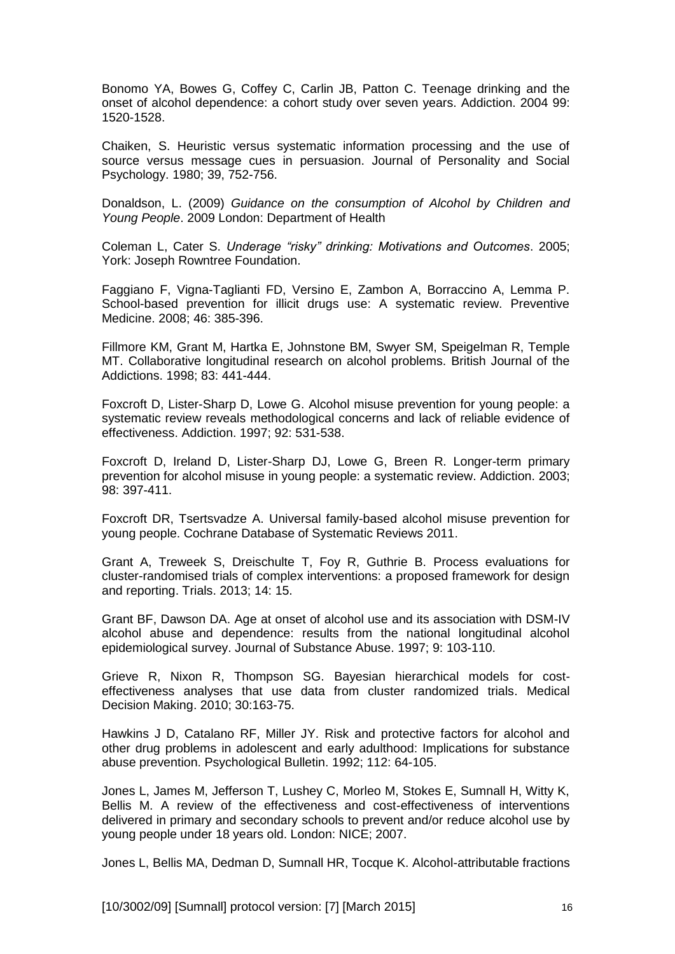Bonomo YA, Bowes G, Coffey C, Carlin JB, Patton C. Teenage drinking and the onset of alcohol dependence: a cohort study over seven years. Addiction. 2004 99: 1520-1528.

Chaiken, S. Heuristic versus systematic information processing and the use of source versus message cues in persuasion. Journal of Personality and Social Psychology. 1980; 39, 752-756.

Donaldson, L. (2009) *Guidance on the consumption of Alcohol by Children and Young People*. 2009 London: Department of Health

Coleman L, Cater S. *Underage "risky" drinking: Motivations and Outcomes*. 2005; York: Joseph Rowntree Foundation.

Faggiano F, Vigna-Taglianti FD, Versino E, Zambon A, Borraccino A, Lemma P. School-based prevention for illicit drugs use: A systematic review. Preventive Medicine. 2008; 46: 385-396.

Fillmore KM, Grant M, Hartka E, Johnstone BM, Swyer SM, Speigelman R, Temple MT. Collaborative longitudinal research on alcohol problems. British Journal of the Addictions. 1998; 83: 441-444.

Foxcroft D, Lister-Sharp D, Lowe G. Alcohol misuse prevention for young people: a systematic review reveals methodological concerns and lack of reliable evidence of effectiveness. Addiction. 1997; 92: 531-538.

Foxcroft D, Ireland D, Lister-Sharp DJ, Lowe G, Breen R. Longer-term primary prevention for alcohol misuse in young people: a systematic review. Addiction. 2003; 98: 397-411.

Foxcroft DR, Tsertsvadze A. Universal family-based alcohol misuse prevention for young people. Cochrane Database of Systematic Reviews 2011.

Grant A, Treweek S, Dreischulte T, Foy R, Guthrie B. Process evaluations for cluster-randomised trials of complex interventions: a proposed framework for design and reporting. Trials. 2013; 14: 15.

Grant BF, Dawson DA. Age at onset of alcohol use and its association with DSM-IV alcohol abuse and dependence: results from the national longitudinal alcohol epidemiological survey. Journal of Substance Abuse. 1997; 9: 103-110.

Grieve R, Nixon R, Thompson SG. Bayesian hierarchical models for costeffectiveness analyses that use data from cluster randomized trials. Medical Decision Making. 2010; 30:163-75.

Hawkins J D, Catalano RF, Miller JY. Risk and protective factors for alcohol and other drug problems in adolescent and early adulthood: Implications for substance abuse prevention. Psychological Bulletin. 1992; 112: 64-105.

Jones L, James M, Jefferson T, Lushey C, Morleo M, Stokes E, Sumnall H, Witty K, Bellis M. A review of the effectiveness and cost-effectiveness of interventions delivered in primary and secondary schools to prevent and/or reduce alcohol use by young people under 18 years old. London: NICE; 2007.

Jones L, Bellis MA, Dedman D, Sumnall HR, Tocque K. Alcohol-attributable fractions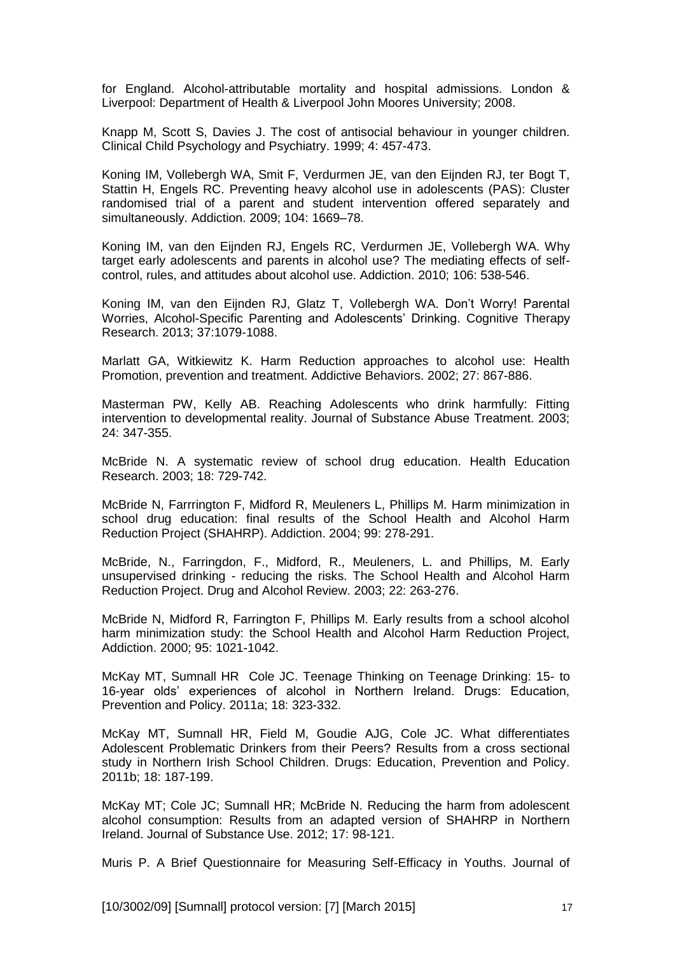for England. Alcohol-attributable mortality and hospital admissions. London & Liverpool: Department of Health & Liverpool John Moores University; 2008.

Knapp M, Scott S, Davies J. The cost of antisocial behaviour in younger children. Clinical Child Psychology and Psychiatry. 1999; 4: 457-473.

Koning IM, Vollebergh WA, Smit F, Verdurmen JE, van den Eijnden RJ, ter Bogt T, Stattin H, Engels RC. Preventing heavy alcohol use in adolescents (PAS): Cluster randomised trial of a parent and student intervention offered separately and simultaneously. Addiction. 2009; 104: 1669–78.

Koning IM, van den Eijnden RJ, Engels RC, Verdurmen JE, Vollebergh WA. Why target early adolescents and parents in alcohol use? The mediating effects of selfcontrol, rules, and attitudes about alcohol use. Addiction. 2010; 106: 538-546.

Koning IM, van den Eijnden RJ, Glatz T, Vollebergh WA. Don't Worry! Parental Worries, Alcohol-Specific Parenting and Adolescents' Drinking. Cognitive Therapy Research. 2013; 37:1079-1088.

Marlatt GA, Witkiewitz K. Harm Reduction approaches to alcohol use: Health Promotion, prevention and treatment. Addictive Behaviors. 2002; 27: 867-886.

Masterman PW, Kelly AB. Reaching Adolescents who drink harmfully: Fitting intervention to developmental reality. Journal of Substance Abuse Treatment. 2003; 24: 347-355.

McBride N. A systematic review of school drug education. Health Education Research. 2003; 18: 729-742.

McBride N, Farrrington F, Midford R, Meuleners L, Phillips M. Harm minimization in school drug education: final results of the School Health and Alcohol Harm Reduction Project (SHAHRP). Addiction. 2004; 99: 278-291.

McBride, N., Farringdon, F., Midford, R., Meuleners, L. and Phillips, M. Early unsupervised drinking - reducing the risks. The School Health and Alcohol Harm Reduction Project. Drug and Alcohol Review. 2003; 22: 263-276.

McBride N, Midford R, Farrington F, Phillips M. Early results from a school alcohol harm minimization study: the School Health and Alcohol Harm Reduction Project, Addiction. 2000; 95: 1021-1042.

McKay MT, Sumnall HR Cole JC. Teenage Thinking on Teenage Drinking: 15- to 16-year olds' experiences of alcohol in Northern Ireland. Drugs: Education, Prevention and Policy. 2011a; 18: 323-332.

McKay MT, Sumnall HR, Field M, Goudie AJG, Cole JC. What differentiates Adolescent Problematic Drinkers from their Peers? Results from a cross sectional study in Northern Irish School Children. Drugs: Education, Prevention and Policy. 2011b; 18: 187-199.

McKay MT; Cole JC; Sumnall HR; McBride N. Reducing the harm from adolescent alcohol consumption: Results from an adapted version of SHAHRP in Northern Ireland. Journal of Substance Use. 2012; 17: 98-121.

Muris P. A Brief Questionnaire for Measuring Self-Efficacy in Youths. Journal of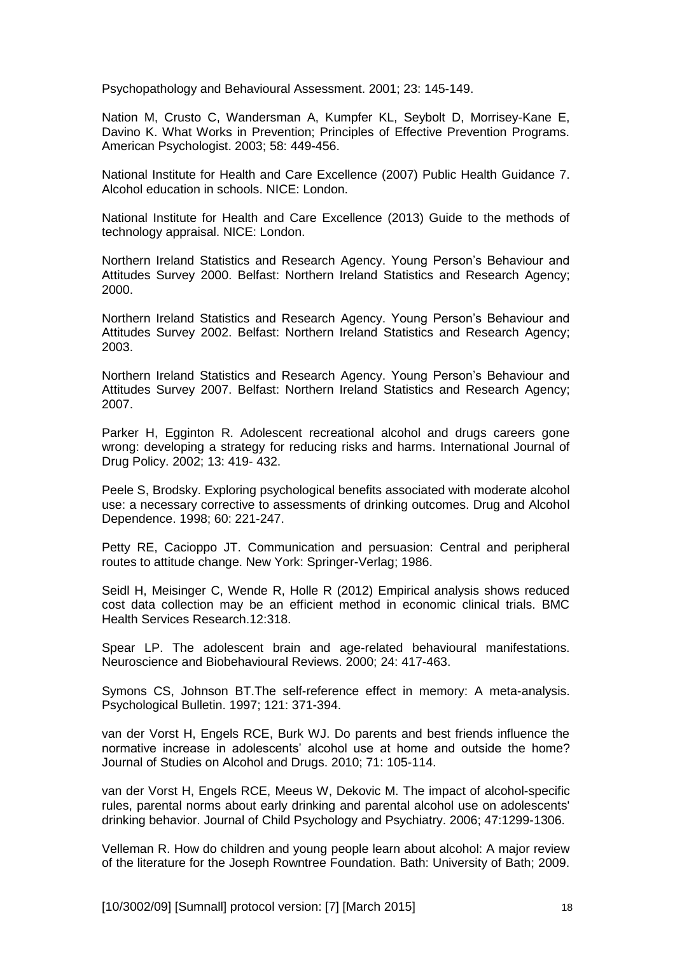Psychopathology and Behavioural Assessment. 2001; 23: 145-149.

Nation M, Crusto C, Wandersman A, Kumpfer KL, Seybolt D, Morrisey-Kane E, Davino K. What Works in Prevention; Principles of Effective Prevention Programs. American Psychologist. 2003; 58: 449-456.

National Institute for Health and Care Excellence (2007) Public Health Guidance 7. Alcohol education in schools. NICE: London.

National Institute for Health and Care Excellence (2013) Guide to the methods of technology appraisal. NICE: London.

Northern Ireland Statistics and Research Agency. Young Person's Behaviour and Attitudes Survey 2000. Belfast: Northern Ireland Statistics and Research Agency; 2000.

Northern Ireland Statistics and Research Agency. Young Person's Behaviour and Attitudes Survey 2002. Belfast: Northern Ireland Statistics and Research Agency; 2003.

Northern Ireland Statistics and Research Agency. Young Person's Behaviour and Attitudes Survey 2007. Belfast: Northern Ireland Statistics and Research Agency; 2007.

Parker H, Egginton R. Adolescent recreational alcohol and drugs careers gone wrong: developing a strategy for reducing risks and harms. International Journal of Drug Policy. 2002; 13: 419- 432.

Peele S, Brodsky. Exploring psychological benefits associated with moderate alcohol use: a necessary corrective to assessments of drinking outcomes. Drug and Alcohol Dependence. 1998; 60: 221-247.

Petty RE, Cacioppo JT. Communication and persuasion: Central and peripheral routes to attitude change. New York: Springer-Verlag; 1986.

Seidl H, Meisinger C, Wende R, Holle R (2012) Empirical analysis shows reduced cost data collection may be an efficient method in economic clinical trials. BMC Health Services Research.12:318.

Spear LP. The adolescent brain and age-related behavioural manifestations. Neuroscience and Biobehavioural Reviews. 2000; 24: 417-463.

Symons CS, Johnson BT.The self-reference effect in memory: A meta-analysis. Psychological Bulletin. 1997; 121: 371-394.

van der Vorst H, Engels RCE, Burk WJ. Do parents and best friends influence the normative increase in adolescents' alcohol use at home and outside the home? Journal of Studies on Alcohol and Drugs. 2010; 71: 105-114.

van der Vorst H, Engels RCE, Meeus W, Dekovic M. The impact of alcohol-specific rules, parental norms about early drinking and parental alcohol use on adolescents' drinking behavior. Journal of Child Psychology and Psychiatry. 2006; 47:1299-1306.

Velleman R. How do children and young people learn about alcohol: A major review of the literature for the Joseph Rowntree Foundation. Bath: University of Bath; 2009.